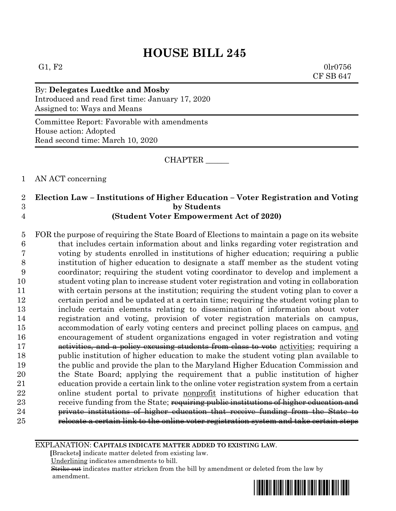G1, F2 0lr0756 CF SB 647

By: **Delegates Luedtke and Mosby** Introduced and read first time: January 17, 2020 Assigned to: Ways and Means

Committee Report: Favorable with amendments House action: Adopted Read second time: March 10, 2020

CHAPTER \_\_\_\_\_\_

1 AN ACT concerning

### 2 **Election Law – Institutions of Higher Education – Voter Registration and Voting**  3 **by Students** 4 **(Student Voter Empowerment Act of 2020)**

 FOR the purpose of requiring the State Board of Elections to maintain a page on its website that includes certain information about and links regarding voter registration and voting by students enrolled in institutions of higher education; requiring a public institution of higher education to designate a staff member as the student voting coordinator; requiring the student voting coordinator to develop and implement a student voting plan to increase student voter registration and voting in collaboration with certain persons at the institution; requiring the student voting plan to cover a certain period and be updated at a certain time; requiring the student voting plan to include certain elements relating to dissemination of information about voter registration and voting, provision of voter registration materials on campus, accommodation of early voting centers and precinct polling places on campus, and encouragement of student organizations engaged in voter registration and voting **activities, and a policy excusing students from class to vote** activities; requiring a public institution of higher education to make the student voting plan available to the public and provide the plan to the Maryland Higher Education Commission and the State Board; applying the requirement that a public institution of higher education provide a certain link to the online voter registration system from a certain online student portal to private nonprofit institutions of higher education that 23 receive funding from the State; requiring public institutions of higher education and **private institutions of higher education that receive funding from the State to** relocate a certain link to the online voter registration system and take certain steps

EXPLANATION: **CAPITALS INDICATE MATTER ADDED TO EXISTING LAW**.

 **[**Brackets**]** indicate matter deleted from existing law.

Underlining indicates amendments to bill.

 Strike out indicates matter stricken from the bill by amendment or deleted from the law by amendment.

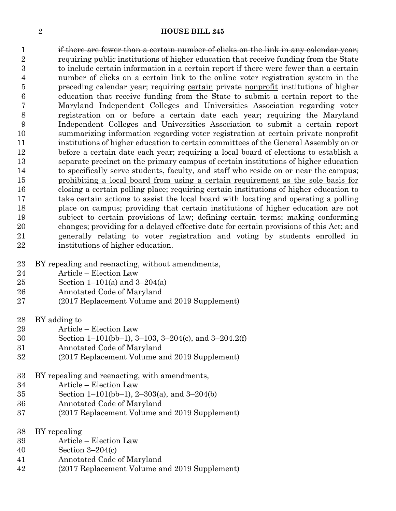1 if there are fewer than a certain number of clicks on the link in any calendar year; requiring public institutions of higher education that receive funding from the State to include certain information in a certain report if there were fewer than a certain number of clicks on a certain link to the online voter registration system in the 5 preceding calendar year; requiring certain private nonprofit institutions of higher education that receive funding from the State to submit a certain report to the Maryland Independent Colleges and Universities Association regarding voter registration on or before a certain date each year; requiring the Maryland Independent Colleges and Universities Association to submit a certain report summarizing information regarding voter registration at certain private nonprofit institutions of higher education to certain committees of the General Assembly on or before a certain date each year; requiring a local board of elections to establish a separate precinct on the primary campus of certain institutions of higher education 14 to specifically serve students, faculty, and staff who reside on or near the campus; prohibiting a local board from using a certain requirement as the sole basis for closing a certain polling place; requiring certain institutions of higher education to take certain actions to assist the local board with locating and operating a polling place on campus; providing that certain institutions of higher education are not subject to certain provisions of law; defining certain terms; making conforming changes; providing for a delayed effective date for certain provisions of this Act; and generally relating to voter registration and voting by students enrolled in institutions of higher education.

- BY repealing and reenacting, without amendments,
- Article Election Law
- 25 Section 1–101(a) and  $3-204(a)$
- Annotated Code of Maryland
- (2017 Replacement Volume and 2019 Supplement)
- BY adding to
- Article Election Law
- Section 1–101(bb–1), 3–103, 3–204(c), and 3–204.2(f)
- Annotated Code of Maryland
- (2017 Replacement Volume and 2019 Supplement)
- BY repealing and reenacting, with amendments,
- Article Election Law
- Section 1–101(bb–1), 2–303(a), and 3–204(b)
- Annotated Code of Maryland
- (2017 Replacement Volume and 2019 Supplement)
- BY repealing
- Article Election Law
- Section 3–204(c)
- Annotated Code of Maryland
- (2017 Replacement Volume and 2019 Supplement)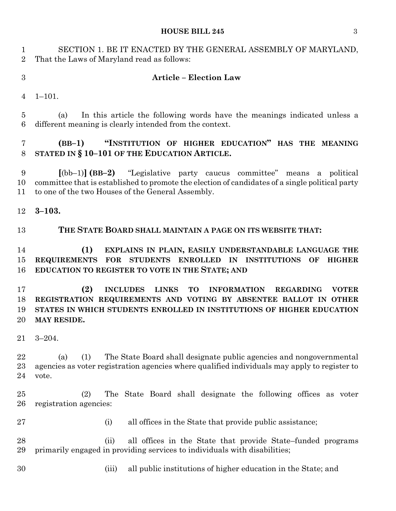### **HOUSE BILL 245** 3

 SECTION 1. BE IT ENACTED BY THE GENERAL ASSEMBLY OF MARYLAND, That the Laws of Maryland read as follows:

### **Article – Election Law**

1–101.

 (a) In this article the following words have the meanings indicated unless a different meaning is clearly intended from the context.

# **(BB–1) "INSTITUTION OF HIGHER EDUCATION" HAS THE MEANING STATED IN § 10–101 OF THE EDUCATION ARTICLE.**

 **[**(bb–1)**] (BB–2)** "Legislative party caucus committee" means a political committee that is established to promote the election of candidates of a single political party to one of the two Houses of the General Assembly.

**3–103.**

### **THE STATE BOARD SHALL MAINTAIN A PAGE ON ITS WEBSITE THAT:**

## **(1) EXPLAINS IN PLAIN, EASILY UNDERSTANDABLE LANGUAGE THE REQUIREMENTS FOR STUDENTS ENROLLED IN INSTITUTIONS OF HIGHER EDUCATION TO REGISTER TO VOTE IN THE STATE; AND**

 **(2) INCLUDES LINKS TO INFORMATION REGARDING VOTER REGISTRATION REQUIREMENTS AND VOTING BY ABSENTEE BALLOT IN OTHER STATES IN WHICH STUDENTS ENROLLED IN INSTITUTIONS OF HIGHER EDUCATION MAY RESIDE.**

3–204.

 (a) (1) The State Board shall designate public agencies and nongovernmental agencies as voter registration agencies where qualified individuals may apply to register to vote.

 (2) The State Board shall designate the following offices as voter registration agencies:

- 
- 27 (i) all offices in the State that provide public assistance;

 (ii) all offices in the State that provide State–funded programs primarily engaged in providing services to individuals with disabilities;

- 
- (iii) all public institutions of higher education in the State; and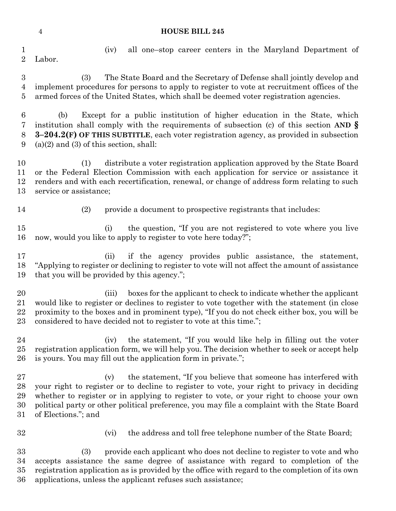Labor.

(iv) all one–stop career centers in the Maryland Department of

 (3) The State Board and the Secretary of Defense shall jointly develop and implement procedures for persons to apply to register to vote at recruitment offices of the armed forces of the United States, which shall be deemed voter registration agencies.

 (b) Except for a public institution of higher education in the State, which institution shall comply with the requirements of subsection (c) of this section **AND § 3–204.2(F) OF THIS SUBTITLE**, each voter registration agency, as provided in subsection 9 (a)(2) and (3) of this section, shall:

 (1) distribute a voter registration application approved by the State Board or the Federal Election Commission with each application for service or assistance it renders and with each recertification, renewal, or change of address form relating to such service or assistance;

(2) provide a document to prospective registrants that includes:

 (i) the question, "If you are not registered to vote where you live now, would you like to apply to register to vote here today?";

 (ii) if the agency provides public assistance, the statement, "Applying to register or declining to register to vote will not affect the amount of assistance that you will be provided by this agency.";

 (iii) boxes for the applicant to check to indicate whether the applicant would like to register or declines to register to vote together with the statement (in close proximity to the boxes and in prominent type), "If you do not check either box, you will be considered to have decided not to register to vote at this time.";

24 (iv) the statement, "If you would like help in filling out the voter registration application form, we will help you. The decision whether to seek or accept help is yours. You may fill out the application form in private.";

 (v) the statement, "If you believe that someone has interfered with your right to register or to decline to register to vote, your right to privacy in deciding whether to register or in applying to register to vote, or your right to choose your own political party or other political preference, you may file a complaint with the State Board of Elections."; and

32 (vi) the address and toll free telephone number of the State Board;

 (3) provide each applicant who does not decline to register to vote and who accepts assistance the same degree of assistance with regard to completion of the registration application as is provided by the office with regard to the completion of its own applications, unless the applicant refuses such assistance;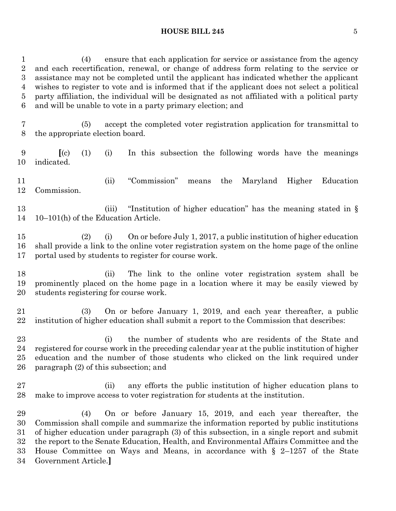### **HOUSE BILL 245** 5

 (4) ensure that each application for service or assistance from the agency and each recertification, renewal, or change of address form relating to the service or assistance may not be completed until the applicant has indicated whether the applicant wishes to register to vote and is informed that if the applicant does not select a political party affiliation, the individual will be designated as not affiliated with a political party and will be unable to vote in a party primary election; and

 (5) accept the completed voter registration application for transmittal to the appropriate election board.

 **[**(c) (1) (i) In this subsection the following words have the meanings indicated.

 (ii) "Commission" means the Maryland Higher Education Commission.

13 (iii) "Institution of higher education" has the meaning stated in § 10–101(h) of the Education Article.

 (2) (i) On or before July 1, 2017, a public institution of higher education shall provide a link to the online voter registration system on the home page of the online portal used by students to register for course work.

 (ii) The link to the online voter registration system shall be prominently placed on the home page in a location where it may be easily viewed by students registering for course work.

 (3) On or before January 1, 2019, and each year thereafter, a public institution of higher education shall submit a report to the Commission that describes:

 (i) the number of students who are residents of the State and registered for course work in the preceding calendar year at the public institution of higher education and the number of those students who clicked on the link required under paragraph (2) of this subsection; and

 (ii) any efforts the public institution of higher education plans to make to improve access to voter registration for students at the institution.

 (4) On or before January 15, 2019, and each year thereafter, the Commission shall compile and summarize the information reported by public institutions of higher education under paragraph (3) of this subsection, in a single report and submit the report to the Senate Education, Health, and Environmental Affairs Committee and the House Committee on Ways and Means, in accordance with § 2–1257 of the State Government Article.**]**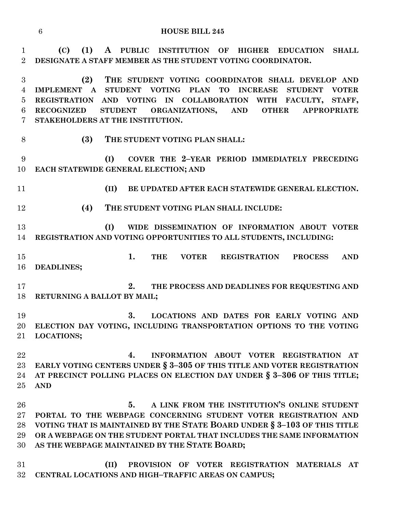**(C) (1) A PUBLIC INSTITUTION OF HIGHER EDUCATION SHALL DESIGNATE A STAFF MEMBER AS THE STUDENT VOTING COORDINATOR.**

 **(2) THE STUDENT VOTING COORDINATOR SHALL DEVELOP AND IMPLEMENT A STUDENT VOTING PLAN TO INCREASE STUDENT VOTER REGISTRATION AND VOTING IN COLLABORATION WITH FACULTY, STAFF, RECOGNIZED STUDENT ORGANIZATIONS, AND OTHER APPROPRIATE STAKEHOLDERS AT THE INSTITUTION.**

**(3) THE STUDENT VOTING PLAN SHALL:**

 **(I) COVER THE 2–YEAR PERIOD IMMEDIATELY PRECEDING EACH STATEWIDE GENERAL ELECTION; AND**

**(II) BE UPDATED AFTER EACH STATEWIDE GENERAL ELECTION.**

**(4) THE STUDENT VOTING PLAN SHALL INCLUDE:**

 **(I) WIDE DISSEMINATION OF INFORMATION ABOUT VOTER REGISTRATION AND VOTING OPPORTUNITIES TO ALL STUDENTS, INCLUDING:**

 **1. THE VOTER REGISTRATION PROCESS AND DEADLINES;**

 **2. THE PROCESS AND DEADLINES FOR REQUESTING AND RETURNING A BALLOT BY MAIL;**

 **3. LOCATIONS AND DATES FOR EARLY VOTING AND ELECTION DAY VOTING, INCLUDING TRANSPORTATION OPTIONS TO THE VOTING LOCATIONS;**

 **4. INFORMATION ABOUT VOTER REGISTRATION AT EARLY VOTING CENTERS UNDER § 3–305 OF THIS TITLE AND VOTER REGISTRATION AT PRECINCT POLLING PLACES ON ELECTION DAY UNDER § 3–306 OF THIS TITLE; AND**

 **5. A LINK FROM THE INSTITUTION'S ONLINE STUDENT PORTAL TO THE WEBPAGE CONCERNING STUDENT VOTER REGISTRATION AND VOTING THAT IS MAINTAINED BY THE STATE BOARD UNDER § 3–103 OF THIS TITLE OR A WEBPAGE ON THE STUDENT PORTAL THAT INCLUDES THE SAME INFORMATION AS THE WEBPAGE MAINTAINED BY THE STATE BOARD;**

 **(II) PROVISION OF VOTER REGISTRATION MATERIALS AT CENTRAL LOCATIONS AND HIGH–TRAFFIC AREAS ON CAMPUS;**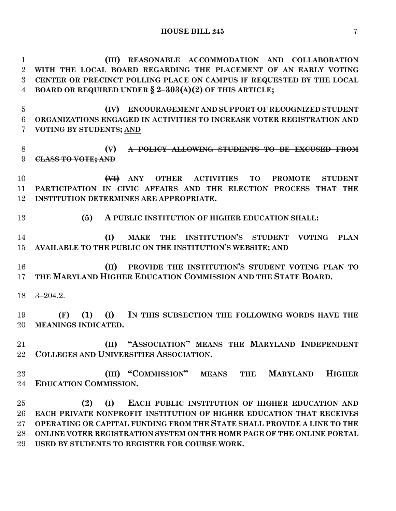**(III) REASONABLE ACCOMMODATION AND COLLABORATION WITH THE LOCAL BOARD REGARDING THE PLACEMENT OF AN EARLY VOTING CENTER OR PRECINCT POLLING PLACE ON CAMPUS IF REQUESTED BY THE LOCAL BOARD OR REQUIRED UNDER § 2–303(A)(2) OF THIS ARTICLE;**

 **(IV) ENCOURAGEMENT AND SUPPORT OF RECOGNIZED STUDENT ORGANIZATIONS ENGAGED IN ACTIVITIES TO INCREASE VOTER REGISTRATION AND VOTING BY STUDENTS; AND**

 **(V) A POLICY ALLOWING STUDENTS TO BE EXCUSED FROM CLASS TO VOTE; AND** 

 **(VI) ANY OTHER ACTIVITIES TO PROMOTE STUDENT PARTICIPATION IN CIVIC AFFAIRS AND THE ELECTION PROCESS THAT THE INSTITUTION DETERMINES ARE APPROPRIATE.**

**(5) A PUBLIC INSTITUTION OF HIGHER EDUCATION SHALL:**

 **(I) MAKE THE INSTITUTION'S STUDENT VOTING PLAN AVAILABLE TO THE PUBLIC ON THE INSTITUTION'S WEBSITE; AND** 

 **(II) PROVIDE THE INSTITUTION'S STUDENT VOTING PLAN TO THE MARYLAND HIGHER EDUCATION COMMISSION AND THE STATE BOARD.**

3–204.2.

 **(F) (1) (I) IN THIS SUBSECTION THE FOLLOWING WORDS HAVE THE MEANINGS INDICATED.**

 **(II) "ASSOCIATION" MEANS THE MARYLAND INDEPENDENT COLLEGES AND UNIVERSITIES ASSOCIATION.**

 **(III) "COMMISSION" MEANS THE MARYLAND HIGHER EDUCATION COMMISSION.**

 **(2) (I) EACH PUBLIC INSTITUTION OF HIGHER EDUCATION AND EACH PRIVATE NONPROFIT INSTITUTION OF HIGHER EDUCATION THAT RECEIVES OPERATING OR CAPITAL FUNDING FROM THE STATE SHALL PROVIDE A LINK TO THE ONLINE VOTER REGISTRATION SYSTEM ON THE HOME PAGE OF THE ONLINE PORTAL USED BY STUDENTS TO REGISTER FOR COURSE WORK.**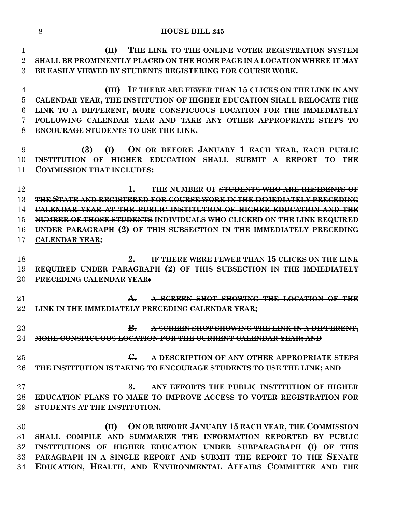**(II) THE LINK TO THE ONLINE VOTER REGISTRATION SYSTEM SHALL BE PROMINENTLY PLACED ON THE HOME PAGE IN A LOCATION WHERE IT MAY BE EASILY VIEWED BY STUDENTS REGISTERING FOR COURSE WORK. (III) IF THERE ARE FEWER THAN 15 CLICKS ON THE LINK IN ANY CALENDAR YEAR, THE INSTITUTION OF HIGHER EDUCATION SHALL RELOCATE THE** 

 **LINK TO A DIFFERENT, MORE CONSPICUOUS LOCATION FOR THE IMMEDIATELY FOLLOWING CALENDAR YEAR AND TAKE ANY OTHER APPROPRIATE STEPS TO ENCOURAGE STUDENTS TO USE THE LINK.**

 **(3) (I) ON OR BEFORE JANUARY 1 EACH YEAR, EACH PUBLIC INSTITUTION OF HIGHER EDUCATION SHALL SUBMIT A REPORT TO THE COMMISSION THAT INCLUDES:**

 **1. THE NUMBER OF STUDENTS WHO ARE RESIDENTS OF THE STATE AND REGISTERED FOR COURSE WORK IN THE IMMEDIATELY PRECEDING CALENDAR YEAR AT THE PUBLIC INSTITUTION OF HIGHER EDUCATION AND THE NUMBER OF THOSE STUDENTS INDIVIDUALS WHO CLICKED ON THE LINK REQUIRED UNDER PARAGRAPH (2) OF THIS SUBSECTION IN THE IMMEDIATELY PRECEDING CALENDAR YEAR;**

 **2. IF THERE WERE FEWER THAN 15 CLICKS ON THE LINK REQUIRED UNDER PARAGRAPH (2) OF THIS SUBSECTION IN THE IMMEDIATELY PRECEDING CALENDAR YEAR:**

 **A. A SCREEN SHOT SHOWING THE LOCATION OF THE LINK IN THE IMMEDIATELY PRECEDING CALENDAR YEAR;**

 **B. A SCREEN SHOT SHOWING THE LINK IN A DIFFERENT, MORE CONSPICUOUS LOCATION FOR THE CURRENT CALENDAR YEAR; AND** 

 **C. A DESCRIPTION OF ANY OTHER APPROPRIATE STEPS THE INSTITUTION IS TAKING TO ENCOURAGE STUDENTS TO USE THE LINK; AND**

 **3. ANY EFFORTS THE PUBLIC INSTITUTION OF HIGHER EDUCATION PLANS TO MAKE TO IMPROVE ACCESS TO VOTER REGISTRATION FOR STUDENTS AT THE INSTITUTION.**

 **(II) ON OR BEFORE JANUARY 15 EACH YEAR, THE COMMISSION SHALL COMPILE AND SUMMARIZE THE INFORMATION REPORTED BY PUBLIC INSTITUTIONS OF HIGHER EDUCATION UNDER SUBPARAGRAPH (I) OF THIS PARAGRAPH IN A SINGLE REPORT AND SUBMIT THE REPORT TO THE SENATE EDUCATION, HEALTH, AND ENVIRONMENTAL AFFAIRS COMMITTEE AND THE**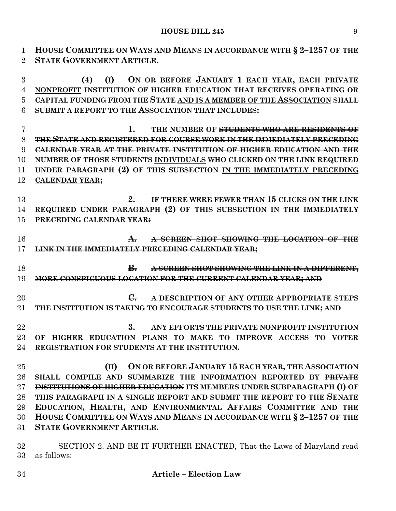**HOUSE COMMITTEE ON WAYS AND MEANS IN ACCORDANCE WITH § 2–1257 OF THE STATE GOVERNMENT ARTICLE.**

 **(4) (I) ON OR BEFORE JANUARY 1 EACH YEAR, EACH PRIVATE NONPROFIT INSTITUTION OF HIGHER EDUCATION THAT RECEIVES OPERATING OR CAPITAL FUNDING FROM THE STATE AND IS A MEMBER OF THE ASSOCIATION SHALL SUBMIT A REPORT TO THE ASSOCIATION THAT INCLUDES:**

 **1. THE NUMBER OF STUDENTS WHO ARE RESIDENTS OF THE STATE AND REGISTERED FOR COURSE WORK IN THE IMMEDIATELY PRECEDING CALENDAR YEAR AT THE PRIVATE INSTITUTION OF HIGHER EDUCATION AND THE NUMBER OF THOSE STUDENTS INDIVIDUALS WHO CLICKED ON THE LINK REQUIRED UNDER PARAGRAPH (2) OF THIS SUBSECTION IN THE IMMEDIATELY PRECEDING CALENDAR YEAR;**

 **2. IF THERE WERE FEWER THAN 15 CLICKS ON THE LINK REQUIRED UNDER PARAGRAPH (2) OF THIS SUBSECTION IN THE IMMEDIATELY PRECEDING CALENDAR YEAR:**

 **A. A SCREEN SHOT SHOWING THE LOCATION OF THE LINK IN THE IMMEDIATELY PRECEDING CALENDAR YEAR;**

 **B. A SCREEN SHOT SHOWING THE LINK IN A DIFFERENT, MORE CONSPICUOUS LOCATION FOR THE CURRENT CALENDAR YEAR; AND** 

**C.** A DESCRIPTION OF ANY OTHER APPROPRIATE STEPS **THE INSTITUTION IS TAKING TO ENCOURAGE STUDENTS TO USE THE LINK; AND**

 **3. ANY EFFORTS THE PRIVATE NONPROFIT INSTITUTION OF HIGHER EDUCATION PLANS TO MAKE TO IMPROVE ACCESS TO VOTER REGISTRATION FOR STUDENTS AT THE INSTITUTION.**

 **(II) ON OR BEFORE JANUARY 15 EACH YEAR, THE ASSOCIATION SHALL COMPILE AND SUMMARIZE THE INFORMATION REPORTED BY PRIVATE INSTITUTIONS OF HIGHER EDUCATION ITS MEMBERS UNDER SUBPARAGRAPH (I) OF THIS PARAGRAPH IN A SINGLE REPORT AND SUBMIT THE REPORT TO THE SENATE EDUCATION, HEALTH, AND ENVIRONMENTAL AFFAIRS COMMITTEE AND THE HOUSE COMMITTEE ON WAYS AND MEANS IN ACCORDANCE WITH § 2–1257 OF THE STATE GOVERNMENT ARTICLE.**

 SECTION 2. AND BE IT FURTHER ENACTED, That the Laws of Maryland read as follows: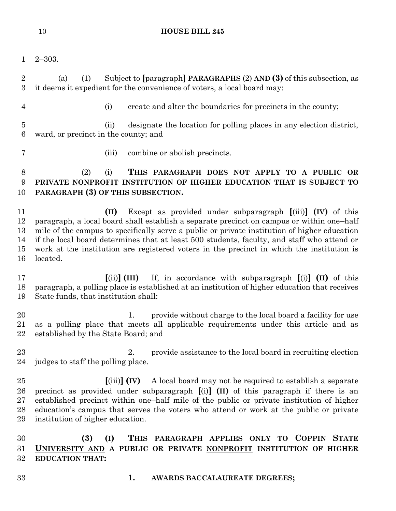2–303.

 (a) (1) Subject to **[**paragraph**] PARAGRAPHS** (2) **AND (3)** of this subsection, as it deems it expedient for the convenience of voters, a local board may:

(i) create and alter the boundaries for precincts in the county;

 (ii) designate the location for polling places in any election district, ward, or precinct in the county; and

- 
- (iii) combine or abolish precincts.

# (2) (i) **THIS PARAGRAPH DOES NOT APPLY TO A PUBLIC OR PRIVATE NONPROFIT INSTITUTION OF HIGHER EDUCATION THAT IS SUBJECT TO PARAGRAPH (3) OF THIS SUBSECTION.**

 **(II)** Except as provided under subparagraph **[**(iii)**] (IV)** of this paragraph, a local board shall establish a separate precinct on campus or within one–half mile of the campus to specifically serve a public or private institution of higher education if the local board determines that at least 500 students, faculty, and staff who attend or work at the institution are registered voters in the precinct in which the institution is located.

 **[**(ii)**] (III)** If, in accordance with subparagraph **[**(i)**] (II)** of this paragraph, a polling place is established at an institution of higher education that receives State funds, that institution shall:

20 1. provide without charge to the local board a facility for use as a polling place that meets all applicable requirements under this article and as established by the State Board; and

23 23 2. provide assistance to the local board in recruiting election judges to staff the polling place.

 **[**(iii)**] (IV)** A local board may not be required to establish a separate precinct as provided under subparagraph **[**(i)**] (II)** of this paragraph if there is an established precinct within one–half mile of the public or private institution of higher education's campus that serves the voters who attend or work at the public or private institution of higher education.

 **(3) (I) THIS PARAGRAPH APPLIES ONLY TO COPPIN STATE UNIVERSITY AND A PUBLIC OR PRIVATE NONPROFIT INSTITUTION OF HIGHER EDUCATION THAT:**

- 
- **1. AWARDS BACCALAUREATE DEGREES;**